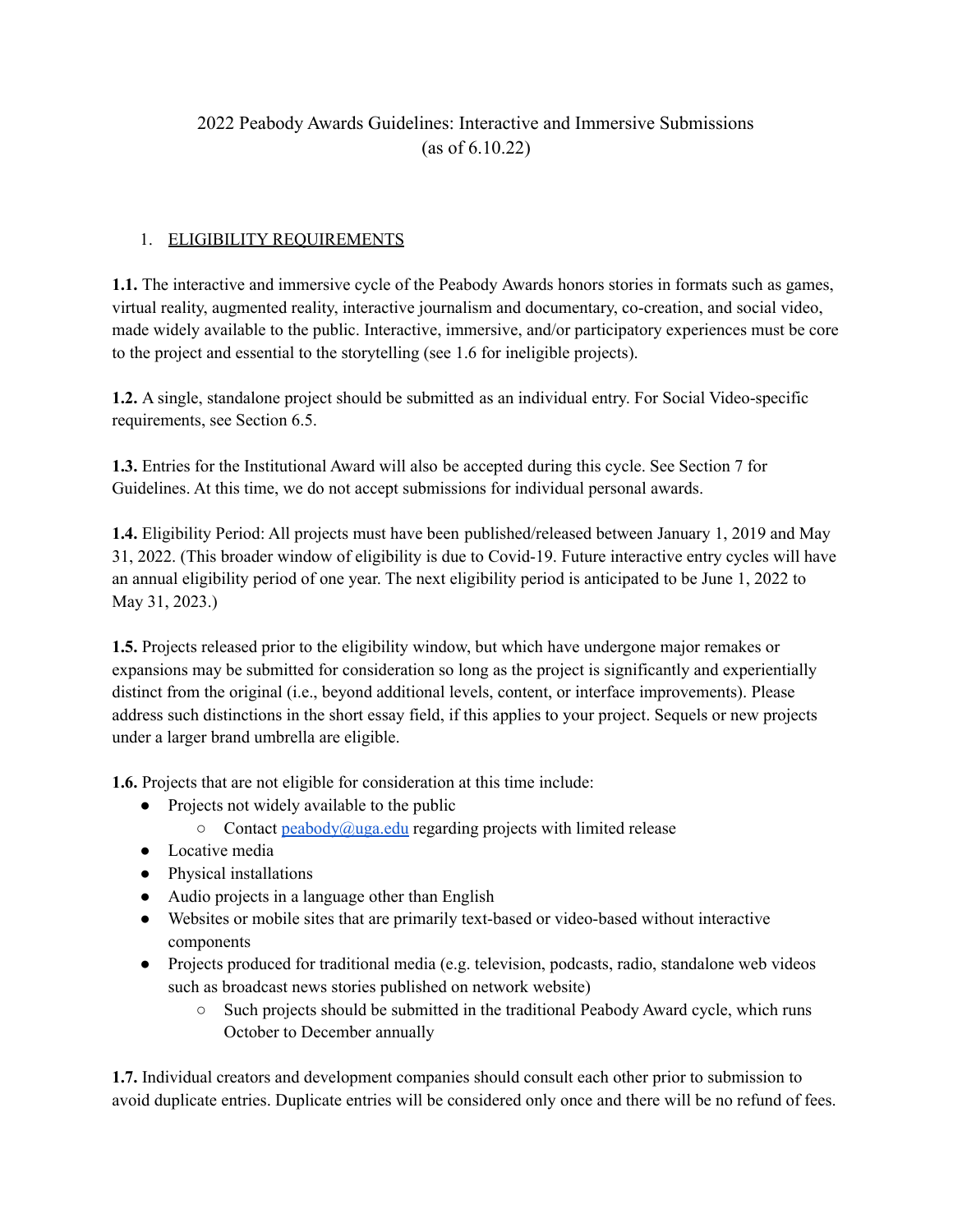# 2022 Peabody Awards Guidelines: Interactive and Immersive Submissions (as of 6.10.22)

# 1. ELIGIBILITY REQUIREMENTS

**1.1.** The interactive and immersive cycle of the Peabody Awards honors stories in formats such as games, virtual reality, augmented reality, interactive journalism and documentary, co-creation, and social video, made widely available to the public. Interactive, immersive, and/or participatory experiences must be core to the project and essential to the storytelling (see 1.6 for ineligible projects).

**1.2.** A single, standalone project should be submitted as an individual entry. For Social Video-specific requirements, see Section 6.5.

**1.3.** Entries for the Institutional Award will also be accepted during this cycle. See Section 7 for Guidelines. At this time, we do not accept submissions for individual personal awards.

**1.4.** Eligibility Period: All projects must have been published/released between January 1, 2019 and May 31, 2022. (This broader window of eligibility is due to Covid-19. Future interactive entry cycles will have an annual eligibility period of one year. The next eligibility period is anticipated to be June 1, 2022 to May 31, 2023.)

**1.5.** Projects released prior to the eligibility window, but which have undergone major remakes or expansions may be submitted for consideration so long as the project is significantly and experientially distinct from the original (i.e., beyond additional levels, content, or interface improvements). Please address such distinctions in the short essay field, if this applies to your project. Sequels or new projects under a larger brand umbrella are eligible.

**1.6.** Projects that are not eligible for consideration at this time include:

- Projects not widely available to the public
	- Contact [peabody@uga.edu](mailto:peabody@uga.edu) regarding projects with limited release
- Locative media
- Physical installations
- Audio projects in a language other than English
- Websites or mobile sites that are primarily text-based or video-based without interactive components
- Projects produced for traditional media (e.g. television, podcasts, radio, standalone web videos such as broadcast news stories published on network website)
	- Such projects should be submitted in the traditional Peabody Award cycle, which runs October to December annually

**1.7.** Individual creators and development companies should consult each other prior to submission to avoid duplicate entries. Duplicate entries will be considered only once and there will be no refund of fees.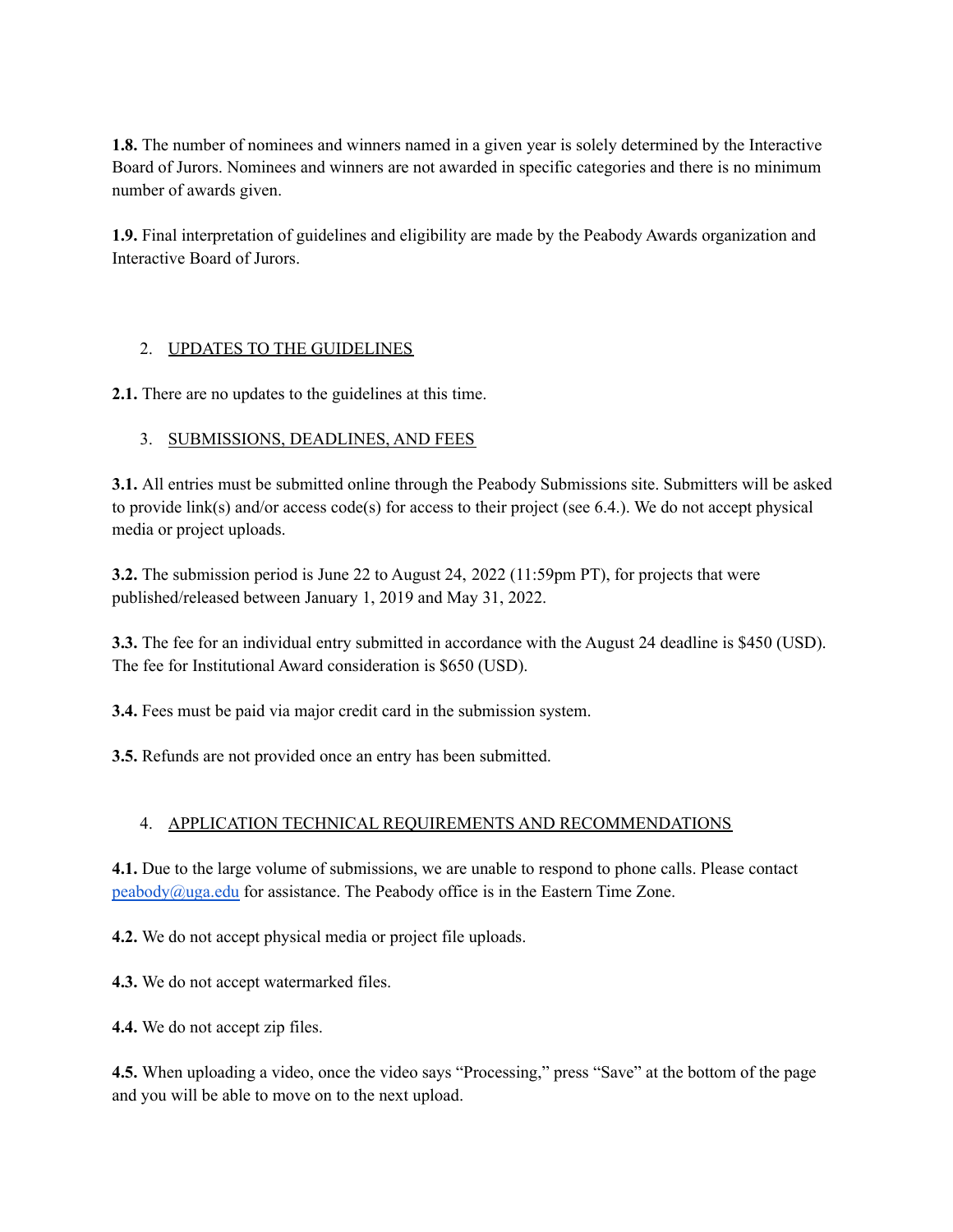**1.8.** The number of nominees and winners named in a given year is solely determined by the Interactive Board of Jurors. Nominees and winners are not awarded in specific categories and there is no minimum number of awards given.

**1.9.** Final interpretation of guidelines and eligibility are made by the Peabody Awards organization and Interactive Board of Jurors.

### 2. UPDATES TO THE GUIDELINES

**2.1.** There are no updates to the guidelines at this time.

#### 3. SUBMISSIONS, DEADLINES, AND FEES

**3.1.** All entries must be submitted online through the Peabody Submissions site. Submitters will be asked to provide link(s) and/or access code(s) for access to their project (see 6.4.). We do not accept physical media or project uploads.

**3.2.** The submission period is June 22 to August 24, 2022 (11:59pm PT), for projects that were published/released between January 1, 2019 and May 31, 2022.

**3.3.** The fee for an individual entry submitted in accordance with the August 24 deadline is \$450 (USD). The fee for Institutional Award consideration is \$650 (USD).

**3.4.** Fees must be paid via major credit card in the submission system.

**3.5.** Refunds are not provided once an entry has been submitted.

#### 4. APPLICATION TECHNICAL REQUIREMENTS AND RECOMMENDATIONS

**4.1.** Due to the large volume of submissions, we are unable to respond to phone calls. Please contact [peabody@uga.edu](mailto:peabody@uga.edu) for assistance. The Peabody office is in the Eastern Time Zone.

**4.2.** We do not accept physical media or project file uploads.

**4.3.** We do not accept watermarked files.

**4.4.** We do not accept zip files.

**4.5.** When uploading a video, once the video says "Processing," press "Save" at the bottom of the page and you will be able to move on to the next upload.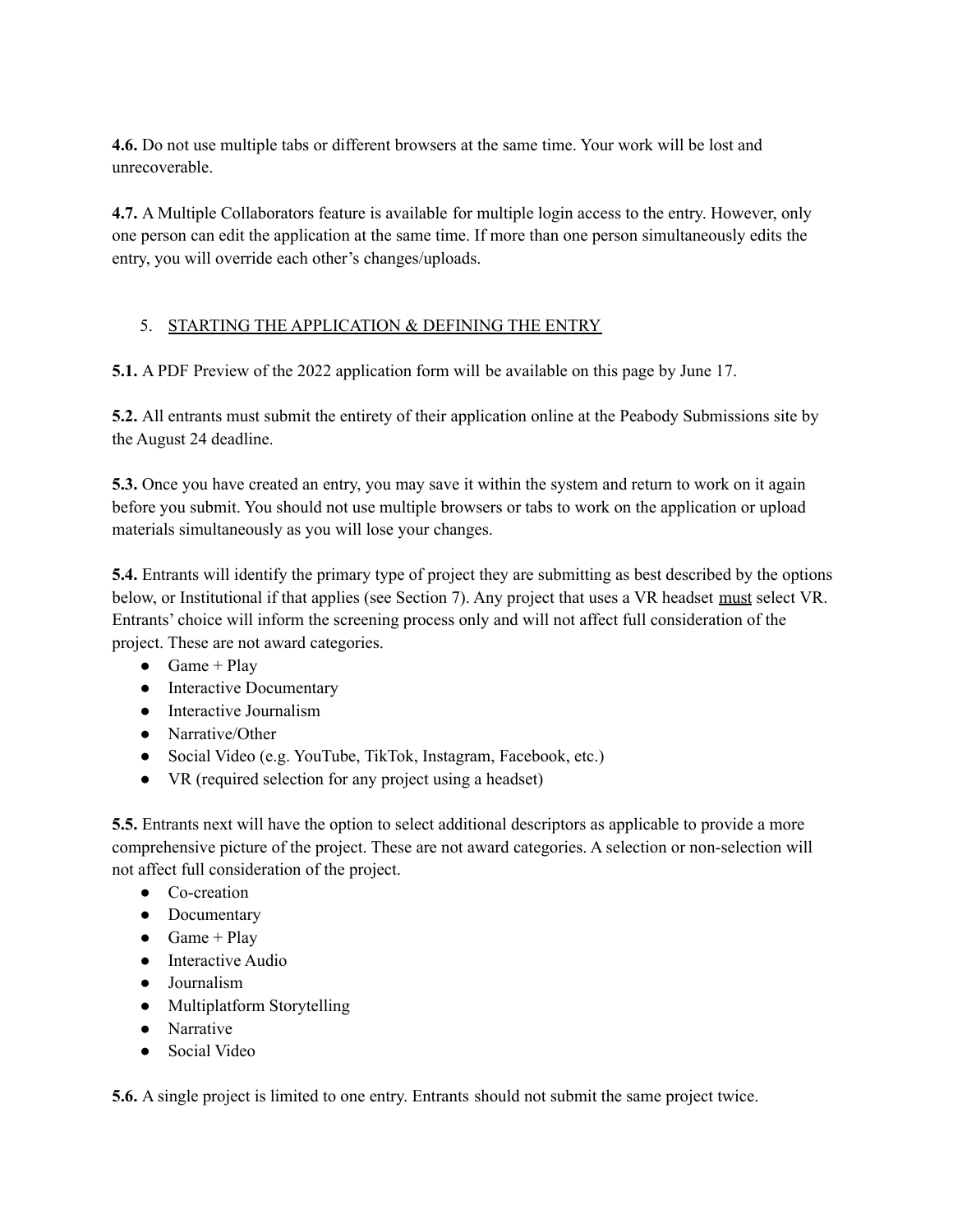**4.6.** Do not use multiple tabs or different browsers at the same time. Your work will be lost and unrecoverable.

**4.7.** A Multiple Collaborators feature is available for multiple login access to the entry. However, only one person can edit the application at the same time. If more than one person simultaneously edits the entry, you will override each other's changes/uploads.

### 5. STARTING THE APPLICATION & DEFINING THE ENTRY

**5.1.** A PDF Preview of the 2022 application form will be available on this page by June 17.

**5.2.** All entrants must submit the entirety of their application online at the Peabody Submissions site by the August 24 deadline.

**5.3.** Once you have created an entry, you may save it within the system and return to work on it again before you submit. You should not use multiple browsers or tabs to work on the application or upload materials simultaneously as you will lose your changes.

**5.4.** Entrants will identify the primary type of project they are submitting as best described by the options below, or Institutional if that applies (see Section 7). Any project that uses a VR headset must select VR. Entrants' choice will inform the screening process only and will not affect full consideration of the project. These are not award categories.

- $\bullet$  Game + Play
- Interactive Documentary
- Interactive Journalism
- Narrative/Other
- Social Video (e.g. YouTube, TikTok, Instagram, Facebook, etc.)
- VR (required selection for any project using a headset)

**5.5.** Entrants next will have the option to select additional descriptors as applicable to provide a more comprehensive picture of the project. These are not award categories. A selection or non-selection will not affect full consideration of the project.

- Co-creation
- Documentary
- Game + Play
- Interactive Audio
- Journalism
- Multiplatform Storytelling
- Narrative
- Social Video

**5.6.** A single project is limited to one entry. Entrants should not submit the same project twice.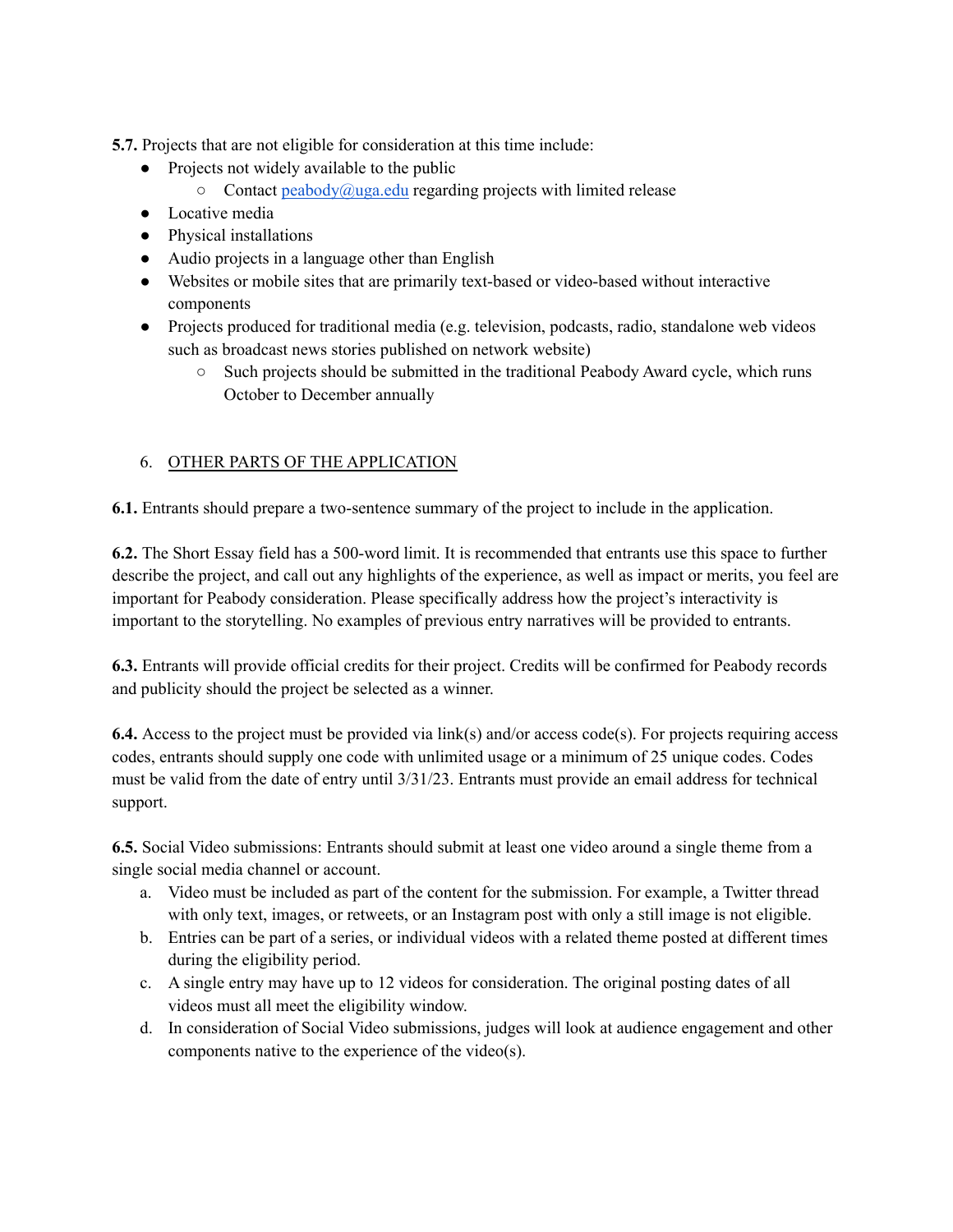**5.7.** Projects that are not eligible for consideration at this time include:

- Projects not widely available to the public
	- $\circ$  Contact [peabody@uga.edu](mailto:peabody@uga.edu) regarding projects with limited release
- Locative media
- Physical installations
- Audio projects in a language other than English
- Websites or mobile sites that are primarily text-based or video-based without interactive components
- Projects produced for traditional media (e.g. television, podcasts, radio, standalone web videos such as broadcast news stories published on network website)
	- Such projects should be submitted in the traditional Peabody Award cycle, which runs October to December annually

#### 6. OTHER PARTS OF THE APPLICATION

**6.1.** Entrants should prepare a two-sentence summary of the project to include in the application.

**6.2.** The Short Essay field has a 500-word limit. It is recommended that entrants use this space to further describe the project, and call out any highlights of the experience, as well as impact or merits, you feel are important for Peabody consideration. Please specifically address how the project's interactivity is important to the storytelling. No examples of previous entry narratives will be provided to entrants.

**6.3.** Entrants will provide official credits for their project. Credits will be confirmed for Peabody records and publicity should the project be selected as a winner.

**6.4.** Access to the project must be provided via link(s) and/or access code(s). For projects requiring access codes, entrants should supply one code with unlimited usage or a minimum of 25 unique codes. Codes must be valid from the date of entry until 3/31/23. Entrants must provide an email address for technical support.

**6.5.** Social Video submissions: Entrants should submit at least one video around a single theme from a single social media channel or account.

- a. Video must be included as part of the content for the submission. For example, a Twitter thread with only text, images, or retweets, or an Instagram post with only a still image is not eligible.
- b. Entries can be part of a series, or individual videos with a related theme posted at different times during the eligibility period.
- c. A single entry may have up to 12 videos for consideration. The original posting dates of all videos must all meet the eligibility window.
- d. In consideration of Social Video submissions, judges will look at audience engagement and other components native to the experience of the video(s).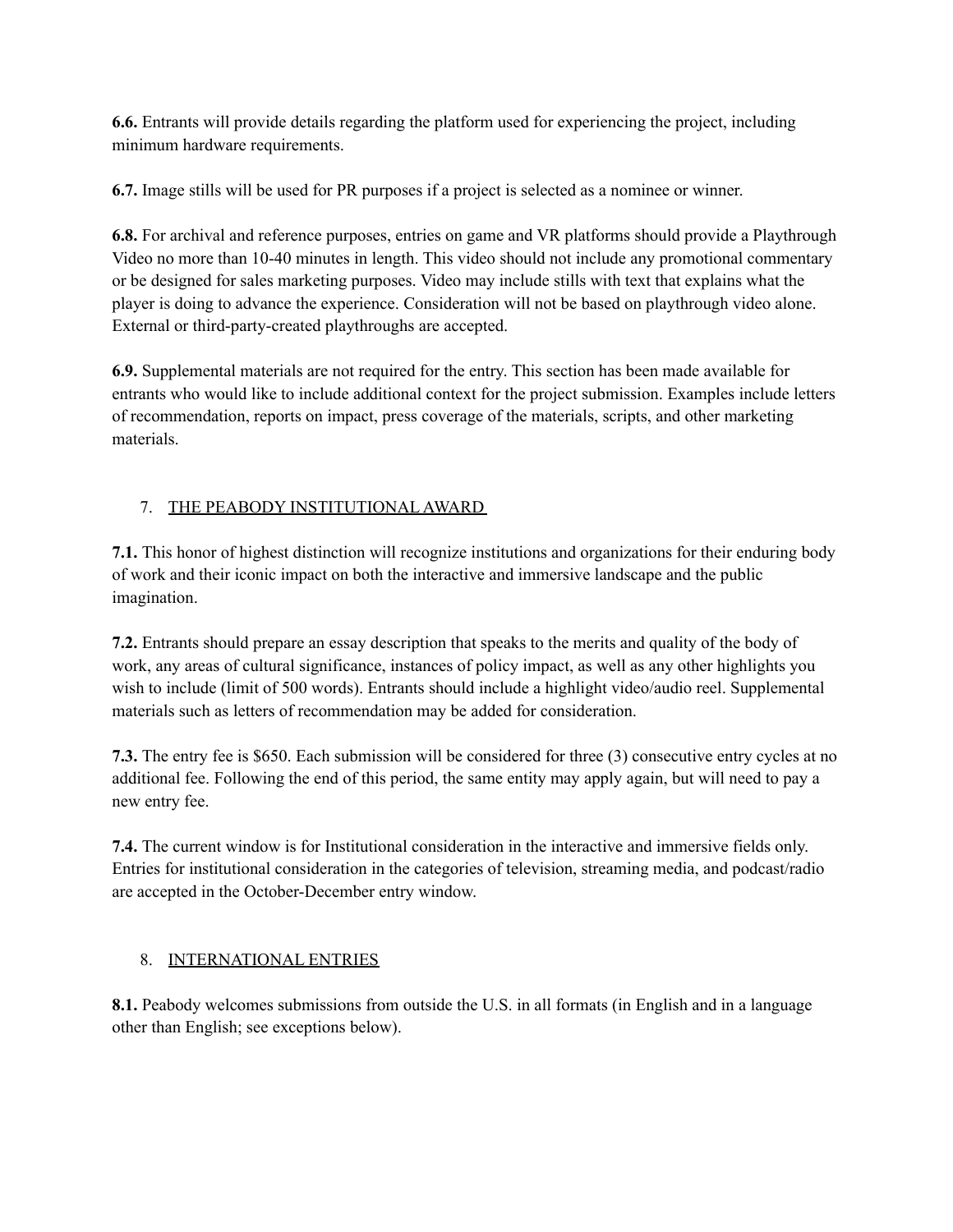**6.6.** Entrants will provide details regarding the platform used for experiencing the project, including minimum hardware requirements.

**6.7.** Image stills will be used for PR purposes if a project is selected as a nominee or winner.

**6.8.** For archival and reference purposes, entries on game and VR platforms should provide a Playthrough Video no more than 10-40 minutes in length. This video should not include any promotional commentary or be designed for sales marketing purposes. Video may include stills with text that explains what the player is doing to advance the experience. Consideration will not be based on playthrough video alone. External or third-party-created playthroughs are accepted.

**6.9.** Supplemental materials are not required for the entry. This section has been made available for entrants who would like to include additional context for the project submission. Examples include letters of recommendation, reports on impact, press coverage of the materials, scripts, and other marketing materials.

### 7. THE PEABODY INSTITUTIONAL AWARD

**7.1.** This honor of highest distinction will recognize institutions and organizations for their enduring body of work and their iconic impact on both the interactive and immersive landscape and the public imagination.

**7.2.** Entrants should prepare an essay description that speaks to the merits and quality of the body of work, any areas of cultural significance, instances of policy impact, as well as any other highlights you wish to include (limit of 500 words). Entrants should include a highlight video/audio reel. Supplemental materials such as letters of recommendation may be added for consideration.

**7.3.** The entry fee is \$650. Each submission will be considered for three (3) consecutive entry cycles at no additional fee. Following the end of this period, the same entity may apply again, but will need to pay a new entry fee.

**7.4.** The current window is for Institutional consideration in the interactive and immersive fields only. Entries for institutional consideration in the categories of television, streaming media, and podcast/radio are accepted in the October-December entry window.

### 8. INTERNATIONAL ENTRIES

**8.1.** Peabody welcomes submissions from outside the U.S. in all formats (in English and in a language other than English; see exceptions below).